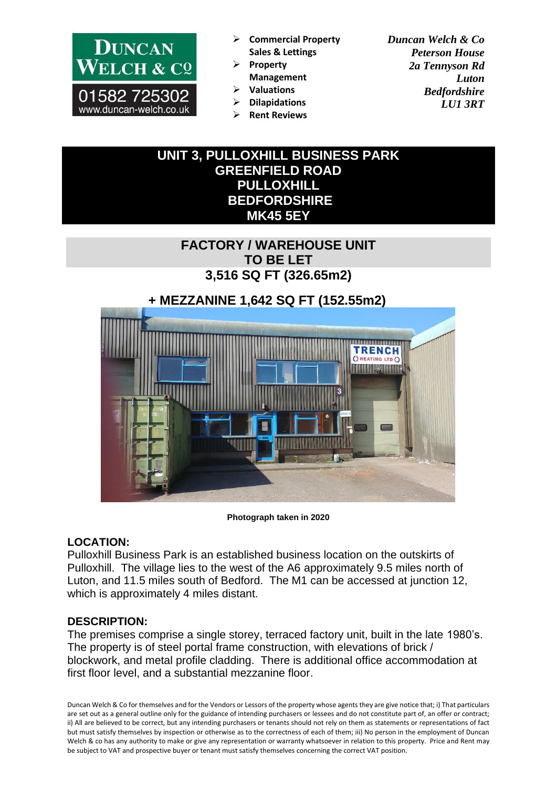

- ➢ **Commercial Property Sales & Lettings**
- ➢ **Property Management**
- ➢ **Valuations**
- ➢ **Dilapidations**
- ➢ **Rent Reviews**

*Duncan Welch & Co Peterson House 2a Tennyson Rd Luton Bedfordshire LU1 3RT*



**FACTORY / WAREHOUSE UNIT TO BE LET 3,516 SQ FT (326.65m2)**



**Photograph taken in 2020**

### **LOCATION:**

Pulloxhill Business Park is an established business location on the outskirts of Pulloxhill. The village lies to the west of the A6 approximately 9.5 miles north of Luton, and 11.5 miles south of Bedford. The M1 can be accessed at junction 12, which is approximately 4 miles distant.

### **DESCRIPTION:**

The premises comprise a single storey, terraced factory unit, built in the late 1980's. The property is of steel portal frame construction, with elevations of brick / blockwork, and metal profile cladding. There is additional office accommodation at first floor level, and a substantial mezzanine floor.

Duncan Welch & Co for themselves and for the Vendors or Lessors of the property whose agents they are give notice that; i) That particulars are set out as a general outline only for the guidance of intending purchasers or lessees and do not constitute part of, an offer or contract; ii) All are believed to be correct, but any intending purchasers or tenants should not rely on them as statements or representations of fact but must satisfy themselves by inspection or otherwise as to the correctness of each of them; iii) No person in the employment of Duncan Welch & co has any authority to make or give any representation or warranty whatsoever in relation to this property. Price and Rent may be subject to VAT and prospective buyer or tenant must satisfy themselves concerning the correct VAT position.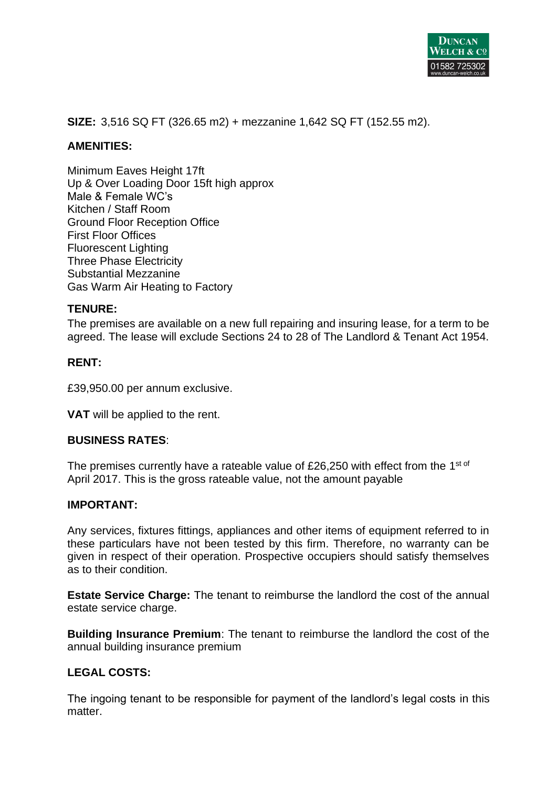

**SIZE:** 3,516 SQ FT (326.65 m2) + mezzanine 1,642 SQ FT (152.55 m2).

# **AMENITIES:**

Minimum Eaves Height 17ft Up & Over Loading Door 15ft high approx Male & Female WC's Kitchen / Staff Room Ground Floor Reception Office First Floor Offices Fluorescent Lighting Three Phase Electricity Substantial Mezzanine Gas Warm Air Heating to Factory

### **TENURE:**

The premises are available on a new full repairing and insuring lease, for a term to be agreed. The lease will exclude Sections 24 to 28 of The Landlord & Tenant Act 1954.

# **RENT:**

£39,950.00 per annum exclusive.

**VAT** will be applied to the rent.

### **BUSINESS RATES**:

The premises currently have a rateable value of £26,250 with effect from the 1<sup>st of</sup> April 2017. This is the gross rateable value, not the amount payable

### **IMPORTANT:**

Any services, fixtures fittings, appliances and other items of equipment referred to in these particulars have not been tested by this firm. Therefore, no warranty can be given in respect of their operation. Prospective occupiers should satisfy themselves as to their condition.

**Estate Service Charge:** The tenant to reimburse the landlord the cost of the annual estate service charge.

**Building Insurance Premium**: The tenant to reimburse the landlord the cost of the annual building insurance premium

### **LEGAL COSTS:**

The ingoing tenant to be responsible for payment of the landlord's legal costs in this matter.